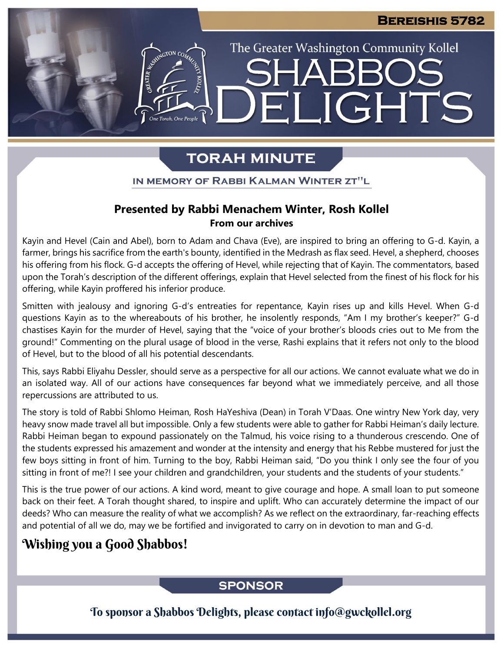The Greater Washington Community Kollel

LIGHTS

## **TORAH MINUTE**

EI

ASSIMIGTON CO

### IN MEMORY OF RABBI KALMAN WINTER ZT"L

### **Presented by Rabbi Menachem Winter, Rosh Kollel From our archives**

Kayin and Hevel (Cain and Abel), born to Adam and Chava (Eve), are inspired to bring an offering to G-d. Kayin, a farmer, brings his sacrifice from the earth's bounty, identified in the Medrash as flax seed. Hevel, a shepherd, chooses his offering from his flock. G-d accepts the offering of Hevel, while rejecting that of Kayin. The commentators, based upon the Torah's description of the different offerings, explain that Hevel selected from the finest of his flock for his offering, while Kayin proffered his inferior produce.

Smitten with jealousy and ignoring G-d's entreaties for repentance, Kayin rises up and kills Hevel. When G-d questions Kayin as to the whereabouts of his brother, he insolently responds, "Am I my brother's keeper?" G-d chastises Kayin for the murder of Hevel, saying that the "voice of your brother's bloods cries out to Me from the ground!" Commenting on the plural usage of blood in the verse, Rashi explains that it refers not only to the blood of Hevel, but to the blood of all his potential descendants.

This, says Rabbi Eliyahu Dessler, should serve as a perspective for all our actions. We cannot evaluate what we do in an isolated way. All of our actions have consequences far beyond what we immediately perceive, and all those repercussions are attributed to us.

The story is told of Rabbi Shlomo Heiman, Rosh HaYeshiva (Dean) in Torah V'Daas. One wintry New York day, very heavy snow made travel all but impossible. Only a few students were able to gather for Rabbi Heiman's daily lecture. Rabbi Heiman began to expound passionately on the Talmud, his voice rising to a thunderous crescendo. One of the students expressed his amazement and wonder at the intensity and energy that his Rebbe mustered for just the few boys sitting in front of him. Turning to the boy, Rabbi Heiman said, "Do you think I only see the four of you sitting in front of me?! I see your children and grandchildren, your students and the students of your students."

This is the true power of our actions. A kind word, meant to give courage and hope. A small loan to put someone back on their feet. A Torah thought shared, to inspire and uplift. Who can accurately determine the impact of our deeds? Who can measure the reality of what we accomplish? As we reflect on the extraordinary, far-reaching effects and potential of all we do, may we be fortified and invigorated to carry on in devotion to man and G-d.

### Wishing you a Good Shabbos!

### **SPONSOR**

To sponsor a Shabbos Delights, please contact info@gwckollel.org